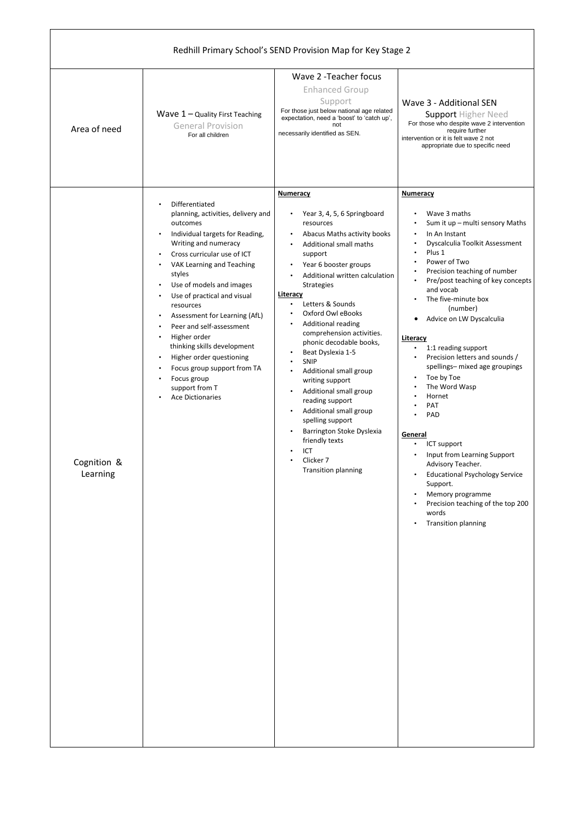| Redhill Primary School's SEND Provision Map for Key Stage 2 |                                                                                                                                                                                                                                                                                                                                                                                                                                                                                                                           |                                                                                                                                                                                                                                                                                                                                                                                                                                                                                                                                                                                                                                                    |                                                                                                                                                                                                                                                                                                                                                                                                                                                                                                                                                                                                                                                                                                                             |  |
|-------------------------------------------------------------|---------------------------------------------------------------------------------------------------------------------------------------------------------------------------------------------------------------------------------------------------------------------------------------------------------------------------------------------------------------------------------------------------------------------------------------------------------------------------------------------------------------------------|----------------------------------------------------------------------------------------------------------------------------------------------------------------------------------------------------------------------------------------------------------------------------------------------------------------------------------------------------------------------------------------------------------------------------------------------------------------------------------------------------------------------------------------------------------------------------------------------------------------------------------------------------|-----------------------------------------------------------------------------------------------------------------------------------------------------------------------------------------------------------------------------------------------------------------------------------------------------------------------------------------------------------------------------------------------------------------------------------------------------------------------------------------------------------------------------------------------------------------------------------------------------------------------------------------------------------------------------------------------------------------------------|--|
| Area of need                                                | Wave $1 -$ Quality First Teaching<br><b>General Provision</b><br>For all children                                                                                                                                                                                                                                                                                                                                                                                                                                         | Wave 2 - Teacher focus<br><b>Enhanced Group</b><br>Support<br>For those just below national age related<br>expectation, need a 'boost' to 'catch up',<br>not<br>necessarily identified as SEN.                                                                                                                                                                                                                                                                                                                                                                                                                                                     | Wave 3 - Additional SEN<br><b>Support Higher Need</b><br>For those who despite wave 2 intervention<br>require further<br>intervention or it is felt wave 2 not<br>appropriate due to specific need                                                                                                                                                                                                                                                                                                                                                                                                                                                                                                                          |  |
| Cognition &<br>Learning                                     | Differentiated<br>planning, activities, delivery and<br>outcomes<br>Individual targets for Reading,<br>Writing and numeracy<br>Cross curricular use of ICT<br>VAK Learning and Teaching<br>styles<br>Use of models and images<br>$\bullet$<br>Use of practical and visual<br>resources<br>Assessment for Learning (AfL)<br>Peer and self-assessment<br>Higher order<br>thinking skills development<br>Higher order questioning<br>Focus group support from TA<br>Focus group<br>support from T<br><b>Ace Dictionaries</b> | <b>Numeracy</b><br>Year 3, 4, 5, 6 Springboard<br>resources<br>Abacus Maths activity books<br>$\bullet$<br>Additional small maths<br>support<br>Year 6 booster groups<br>Additional written calculation<br>Strategies<br>Literacy<br>Letters & Sounds<br>$\bullet$<br>Oxford Owl eBooks<br><b>Additional reading</b><br>comprehension activities.<br>phonic decodable books,<br>Beat Dyslexia 1-5<br>SNIP<br>Additional small group<br>writing support<br>Additional small group<br>reading support<br>Additional small group<br>spelling support<br>Barrington Stoke Dyslexia<br>friendly texts<br>ICT<br>Clicker 7<br><b>Transition planning</b> | <b>Numeracy</b><br>Wave 3 maths<br>Sum it up - multi sensory Maths<br>In An Instant<br>$\bullet$<br>Dyscalculia Toolkit Assessment<br>Plus 1<br>Power of Two<br>Precision teaching of number<br>Pre/post teaching of key concepts<br>$\bullet$<br>and vocab<br>The five-minute box<br>(number)<br>Advice on LW Dyscalculia<br>Literacy<br>1:1 reading support<br>Precision letters and sounds /<br>spellings- mixed age groupings<br>Toe by Toe<br>The Word Wasp<br>Hornet<br>PAT<br>PAD<br>General<br>ICT support<br>Input from Learning Support<br>Advisory Teacher.<br><b>Educational Psychology Service</b><br>Support.<br>Memory programme<br>Precision teaching of the top 200<br>words<br><b>Transition planning</b> |  |